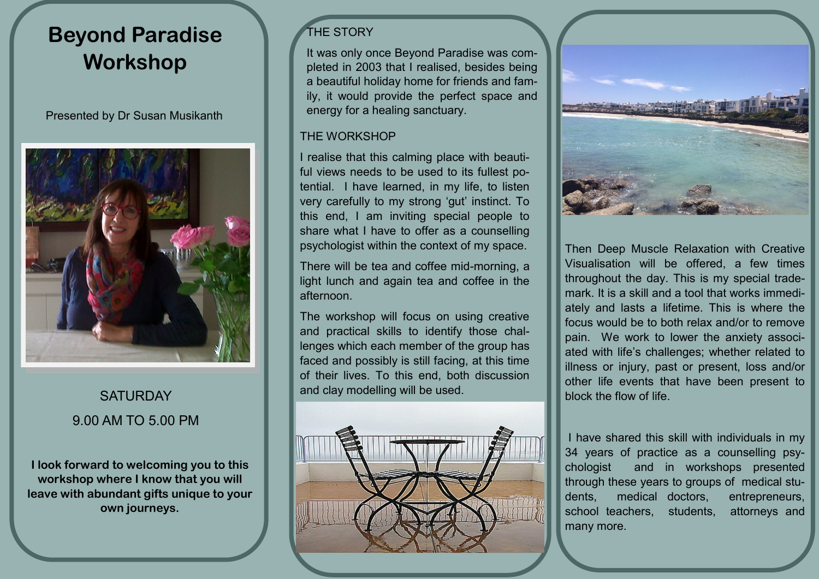# **Beyond Paradise Workshop**

Presented by Dr Susan Musikanth



# **SATURDAY** 9.00 AM TO 5.00 PM

**I look forward to welcoming you to this workshop where I know that you will leave with abundant gifts unique to your own journeys.**

## THE STORY

It was only once Beyond Paradise was completed in 2003 that I realised, besides being a beautiful holiday home for friends and family, it would provide the perfect space and energy for a healing sanctuary.

#### THE WORKSHOP

I realise that this calming place with beautiful views needs to be used to its fullest potential. I have learned, in my life, to listen very carefully to my strong 'gut' instinct. To this end, I am inviting special people to share what I have to offer as a counselling psychologist within the context of my space.

There will be tea and coffee mid-morning, a light lunch and again tea and coffee in the afternoon.

The workshop will focus on using creative and practical skills to identify those challenges which each member of the group has faced and possibly is still facing, at this time of their lives. To this end, both discussion and clay modelling will be used.





Then Deep Muscle Relaxation with Creative Visualisation will be offered, a few times throughout the day. This is my special trademark. It is a skill and a tool that works immediately and lasts a lifetime. This is where the focus would be to both relax and/or to remove pain. We work to lower the anxiety associated with life's challenges; whether related to illness or injury, past or present, loss and/or other life events that have been present to block the flow of life.

I have shared this skill with individuals in my 34 years of practice as a counselling psychologist and in workshops presented through these years to groups of medical students, medical doctors, entrepreneurs, school teachers, students, attorneys and many more.